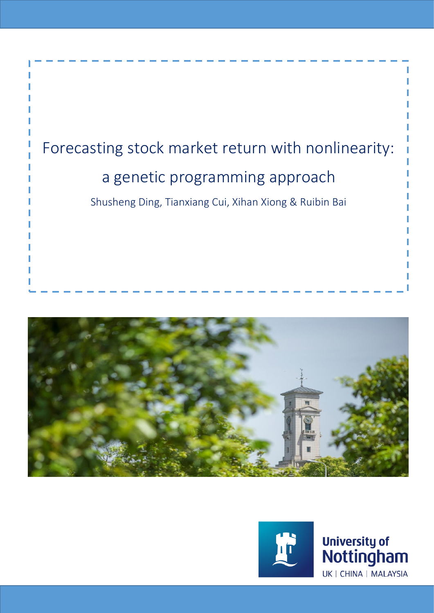





University of<br>Nottingham UK | CHINA | MALAYSIA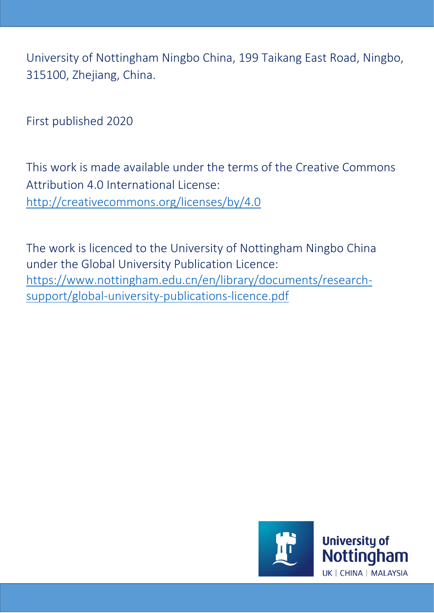University of Nottingham Ningbo China, 199 Taikang East Road, Ningbo, 315100, Zhejiang, China.

First published 2020

This work is made available under the terms of the Creative Commons Attribution 4.0 International License: <http://creativecommons.org/licenses/by/4.0>

The work is licenced to the University of Nottingham Ningbo China under the Global University Publication Licence: [https://www.nottingham.edu.cn/en/library/documents/research](https://www.nottingham.edu.cn/en/library/documents/research-support/global-university-publications-licence.pdf)[support/global-university-publications-licence.pdf](https://www.nottingham.edu.cn/en/library/documents/research-support/global-university-publications-licence.pdf)

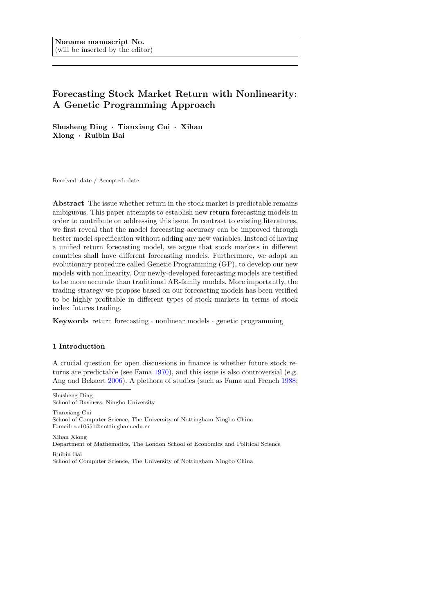# Forecasting Stock Market Return with Nonlinearity: A Genetic Programming Approach

Shusheng Ding · Tianxiang Cui · Xihan Xiong · Ruibin Bai

Received: date / Accepted: date

Abstract The issue whether return in the stock market is predictable remains ambiguous. This paper attempts to establish new return forecasting models in order to contribute on addressing this issue. In contrast to existing literatures, we first reveal that the model forecasting accuracy can be improved through better model specification without adding any new variables. Instead of having a unified return forecasting model, we argue that stock markets in different countries shall have different forecasting models. Furthermore, we adopt an evolutionary procedure called Genetic Programming (GP), to develop our new models with nonlinearity. Our newly-developed forecasting models are testified to be more accurate than traditional AR-family models. More importantly, the trading strategy we propose based on our forecasting models has been verified to be highly profitable in different types of stock markets in terms of stock index futures trading.

Keywords return forecasting · nonlinear models · genetic programming

### 1 Introduction

A crucial question for open discussions in finance is whether future stock returns are predictable (see Fama [1970\)](#page-21-0), and this issue is also controversial (e.g. Ang and Bekaert [2006\)](#page-20-0). A plethora of studies (such as Fama and French [1988;](#page-21-1)

Shusheng Ding School of Business, Ningbo University Tianxiang Cui

School of Computer Science, The University of Nottingham Ningbo China E-mail: zx10551@nottingham.edu.cn

Xihan Xiong

Department of Mathematics, The London School of Economics and Political Science

Ruibin Bai

School of Computer Science, The University of Nottingham Ningbo China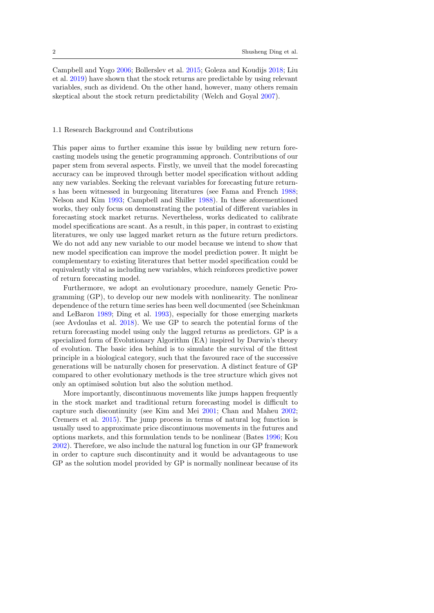Campbell and Yogo [2006;](#page-20-1) Bollerslev et al. [2015;](#page-20-2) Goleza and Koudijs [2018;](#page-21-2) Liu et al. [2019\)](#page-22-0) have shown that the stock returns are predictable by using relevant variables, such as dividend. On the other hand, however, many others remain skeptical about the stock return predictability (Welch and Goyal [2007\)](#page-23-0).

#### 1.1 Research Background and Contributions

This paper aims to further examine this issue by building new return forecasting models using the genetic programming approach. Contributions of our paper stem from several aspects. Firstly, we unveil that the model forecasting accuracy can be improved through better model specification without adding any new variables. Seeking the relevant variables for forecasting future returns has been witnessed in burgeoning literatures (see Fama and French [1988;](#page-21-1) Nelson and Kim [1993;](#page-23-1) Campbell and Shiller [1988\)](#page-20-3). In these aforementioned works, they only focus on demonstrating the potential of different variables in forecasting stock market returns. Nevertheless, works dedicated to calibrate model specifications are scant. As a result, in this paper, in contrast to existing literatures, we only use lagged market return as the future return predictors. We do not add any new variable to our model because we intend to show that new model specification can improve the model prediction power. It might be complementary to existing literatures that better model specification could be equivalently vital as including new variables, which reinforces predictive power of return forecasting model.

Furthermore, we adopt an evolutionary procedure, namely Genetic Programming (GP), to develop our new models with nonlinearity. The nonlinear dependence of the return time series has been well documented (see Scheinkman and LeBaron [1989;](#page-23-2) Ding et al. [1993\)](#page-21-3), especially for those emerging markets (see Avdoulas et al. [2018\)](#page-20-4). We use GP to search the potential forms of the return forecasting model using only the lagged returns as predictors. GP is a specialized form of Evolutionary Algorithm (EA) inspired by Darwin's theory of evolution. The basic idea behind is to simulate the survival of the fittest principle in a biological category, such that the favoured race of the successive generations will be naturally chosen for preservation. A distinct feature of GP compared to other evolutionary methods is the tree structure which gives not only an optimised solution but also the solution method.

More importantly, discontinuous movements like jumps happen frequently in the stock market and traditional return forecasting model is difficult to capture such discontinuity (see Kim and Mei [2001;](#page-22-1) Chan and Maheu [2002;](#page-20-5) Cremers et al. [2015\)](#page-21-4). The jump process in terms of natural log function is usually used to approximate price discontinuous movements in the futures and options markets, and this formulation tends to be nonlinear (Bates [1996;](#page-20-6) Kou [2002\)](#page-22-2). Therefore, we also include the natural log function in our GP framework in order to capture such discontinuity and it would be advantageous to use GP as the solution model provided by GP is normally nonlinear because of its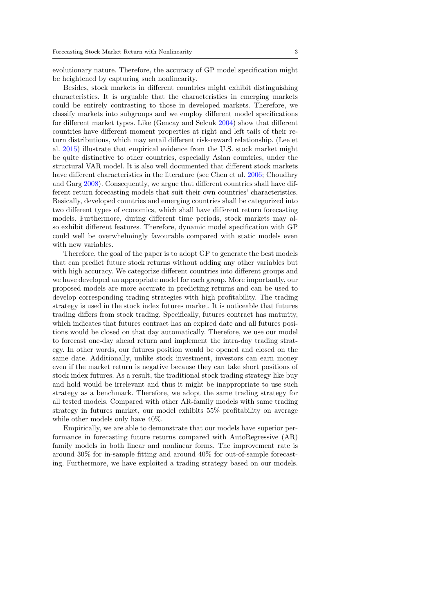evolutionary nature. Therefore, the accuracy of GP model specification might be heightened by capturing such nonlinearity.

Besides, stock markets in different countries might exhibit distinguishing characteristics. It is arguable that the characteristics in emerging markets could be entirely contrasting to those in developed markets. Therefore, we classify markets into subgroups and we employ different model specifications for different market types. Like (Gencay and Selcuk [2004\)](#page-21-5) show that different countries have different moment properties at right and left tails of their return distributions, which may entail different risk-reward relationship. (Lee et al. [2015\)](#page-22-3) illustrate that empirical evidence from the U.S. stock market might be quite distinctive to other countries, especially Asian countries, under the structural VAR model. It is also well documented that different stock markets have different characteristics in the literature (see Chen et al. [2006;](#page-21-6) Choudhry and Garg [2008\)](#page-21-7). Consequently, we argue that different countries shall have different return forecasting models that suit their own countries' characteristics. Basically, developed countries and emerging countries shall be categorized into two different types of economics, which shall have different return forecasting models. Furthermore, during different time periods, stock markets may also exhibit different features. Therefore, dynamic model specification with GP could well be overwhelmingly favourable compared with static models even with new variables.

Therefore, the goal of the paper is to adopt GP to generate the best models that can predict future stock returns without adding any other variables but with high accuracy. We categorize different countries into different groups and we have developed an appropriate model for each group. More importantly, our proposed models are more accurate in predicting returns and can be used to develop corresponding trading strategies with high profitability. The trading strategy is used in the stock index futures market. It is noticeable that futures trading differs from stock trading. Specifically, futures contract has maturity, which indicates that futures contract has an expired date and all futures positions would be closed on that day automatically. Therefore, we use our model to forecast one-day ahead return and implement the intra-day trading strategy. In other words, our futures position would be opened and closed on the same date. Additionally, unlike stock investment, investors can earn money even if the market return is negative because they can take short positions of stock index futures. As a result, the traditional stock trading strategy like buy and hold would be irrelevant and thus it might be inappropriate to use such strategy as a benchmark. Therefore, we adopt the same trading strategy for all tested models. Compared with other AR-family models with same trading strategy in futures market, our model exhibits 55% profitability on average while other models only have 40%.

Empirically, we are able to demonstrate that our models have superior performance in forecasting future returns compared with AutoRegressive (AR) family models in both linear and nonlinear forms. The improvement rate is around 30% for in-sample fitting and around 40% for out-of-sample forecasting. Furthermore, we have exploited a trading strategy based on our models.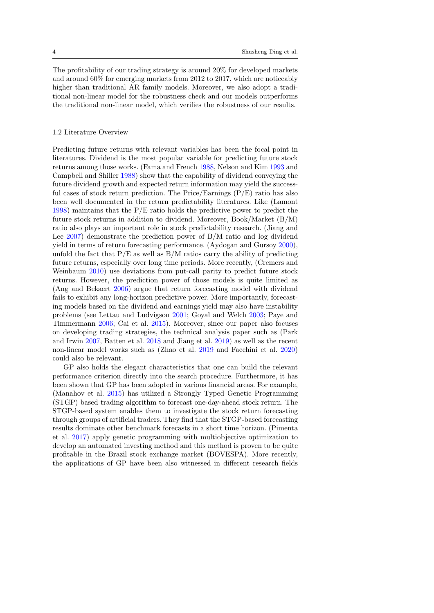The profitability of our trading strategy is around 20% for developed markets and around 60% for emerging markets from 2012 to 2017, which are noticeably higher than traditional AR family models. Moreover, we also adopt a traditional non-linear model for the robustness check and our models outperforms the traditional non-linear model, which verifies the robustness of our results.

## 1.2 Literature Overview

Predicting future returns with relevant variables has been the focal point in literatures. Dividend is the most popular variable for predicting future stock returns among those works. (Fama and French [1988,](#page-21-1) Nelson and Kim [1993](#page-23-1) and Campbell and Shiller [1988\)](#page-20-3) show that the capability of dividend conveying the future dividend growth and expected return information may yield the successful cases of stock return prediction. The Price/Earnings  $(P/E)$  ratio has also been well documented in the return predictability literatures. Like (Lamont [1998\)](#page-22-4) maintains that the P/E ratio holds the predictive power to predict the future stock returns in addition to dividend. Moreover, Book/Market (B/M) ratio also plays an important role in stock predictability research. (Jiang and Lee [2007\)](#page-22-5) demonstrate the prediction power of B/M ratio and log dividend yield in terms of return forecasting performance. (Aydogan and Gursoy [2000\)](#page-20-7), unfold the fact that  $P/E$  as well as  $B/M$  ratios carry the ability of predicting future returns, especially over long time periods. More recently, (Cremers and Weinbaum [2010\)](#page-21-8) use deviations from put-call parity to predict future stock returns. However, the prediction power of those models is quite limited as (Ang and Bekaert [2006\)](#page-20-0) argue that return forecasting model with dividend fails to exhibit any long-horizon predictive power. More importantly, forecasting models based on the dividend and earnings yield may also have instability problems (see Lettau and Ludvigson [2001;](#page-22-6) Goyal and Welch [2003;](#page-21-9) Paye and Timmermann [2006;](#page-23-3) Cai et al. [2015\)](#page-20-8). Moreover, since our paper also focuses on developing trading strategies, the technical analysis paper such as (Park and Irwin [2007,](#page-23-4) Batten et al. [2018](#page-20-9) and Jiang et al. [2019\)](#page-22-7) as well as the recent non-linear model works such as (Zhao et al. [2019](#page-23-5) and Facchini et al. [2020\)](#page-21-10) could also be relevant.

GP also holds the elegant characteristics that one can build the relevant performance criterion directly into the search procedure. Furthermore, it has been shown that GP has been adopted in various financial areas. For example, (Manahov et al. [2015\)](#page-22-8) has utilized a Strongly Typed Genetic Programming (STGP) based trading algorithm to forecast one-day-ahead stock return. The STGP-based system enables them to investigate the stock return forecasting through groups of artificial traders. They find that the STGP-based forecasting results dominate other benchmark forecasts in a short time horizon. (Pimenta et al. [2017\)](#page-23-6) apply genetic programming with multiobjective optimization to develop an automated investing method and this method is proven to be quite profitable in the Brazil stock exchange market (BOVESPA). More recently, the applications of GP have been also witnessed in different research fields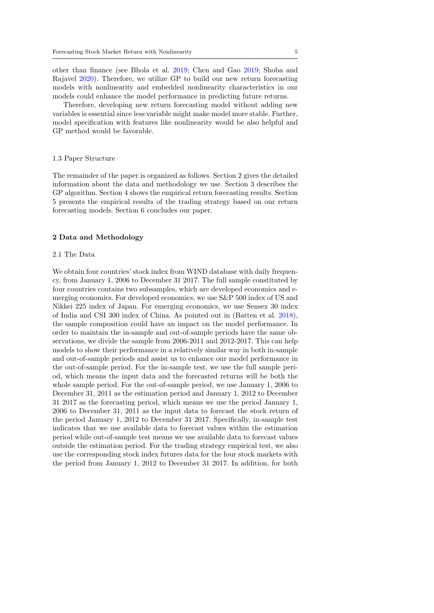other than finance (see Bhola et al. [2019;](#page-20-10) Chen and Gao [2019;](#page-21-11) Shoba and Rajavel [2020\)](#page-23-7). Therefore, we utilize GP to build our new return forecasting models with nonlinearity and embedded nonlinearity characteristics in our models could enhance the model performance in predicting future returns.

Therefore, developing new return forecasting model without adding new variables is essential since less variable might make model more stable. Further, model specification with features like nonlinearity would be also helpful and GP method would be favorable.

### 1.3 Paper Structure

The remainder of the paper is organized as follows. Section 2 gives the detailed information about the data and methodology we use. Section 3 describes the GP algorithm. Section 4 shows the empirical return forecasting results. Section 5 presents the empirical results of the trading strategy based on our return forecasting models. Section 6 concludes our paper.

## 2 Data and Methodology

#### 2.1 The Data

We obtain four countries' stock index from WIND database with daily frequency, from January 1, 2006 to December 31 2017. The full sample constituted by four countries contains two subsamples, which are developed economics and emerging economics. For developed economics, we use S&P 500 index of US and Nikkei 225 index of Japan. For emerging economics, we use Sensex 30 index of India and CSI 300 index of China. As pointed out in (Batten et al. [2018\)](#page-20-9), the sample composition could have an impact on the model performance. In order to maintain the in-sample and out-of-sample periods have the same observations, we divide the sample from 2006-2011 and 2012-2017. This can help models to show their performance in a relatively similar way in both in-sample and out-of-sample periods and assist us to enhance our model performance in the out-of-sample period. For the in-sample test, we use the full sample period, which means the input data and the forecasted returns will be both the whole sample period. For the out-of-sample period, we use January 1, 2006 to December 31, 2011 as the estimation period and January 1, 2012 to December 31 2017 as the forecasting period, which means we use the period January 1, 2006 to December 31, 2011 as the input data to forecast the stock return of the period January 1, 2012 to December 31 2017. Specifically, in-sample test indicates that we use available data to forecast values within the estimation period while out-of-sample test means we use available data to forecast values outside the estimation period. For the trading strategy empirical test, we also use the corresponding stock index futures data for the four stock markets with the period from January 1, 2012 to December 31 2017. In addition, for both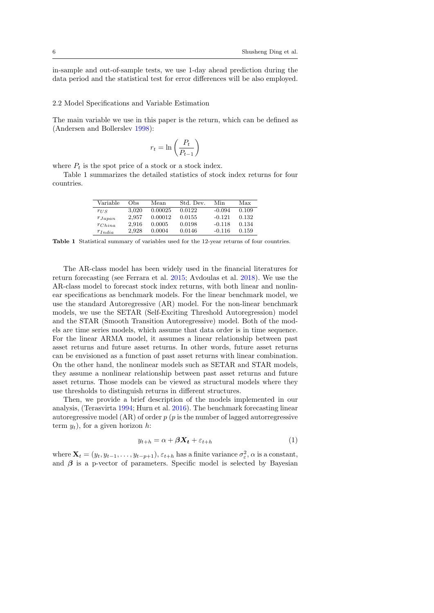in-sample and out-of-sample tests, we use 1-day ahead prediction during the data period and the statistical test for error differences will be also employed.

#### 2.2 Model Specifications and Variable Estimation

The main variable we use in this paper is the return, which can be defined as (Andersen and Bollerslev [1998\)](#page-20-11):

$$
r_t = \ln\left(\frac{P_t}{P_{t-1}}\right)
$$

where  $P_t$  is the spot price of a stock or a stock index.

Table 1 summarizes the detailed statistics of stock index returns for four countries.

| Variable    | Obs   | Mean    | Std. Dev. | Min      | Max   |
|-------------|-------|---------|-----------|----------|-------|
| $r_{US}$    | 3.020 | 0.00025 | 0.0122    | $-0.094$ | 0.109 |
| $r_{Japan}$ | 2.957 | 0.00012 | 0.0155    | $-0.121$ | 0.132 |
| $r_{China}$ | 2.916 | 0.0005  | 0.0198    | $-0.118$ | 0.134 |
| $r_{India}$ | 2.928 | 0.0004  | 0.0146    | $-0.116$ | 0.159 |
|             |       |         |           |          |       |

Table 1 Statistical summary of variables used for the 12-year returns of four countries.

The AR-class model has been widely used in the financial literatures for return forecasting (see Ferrara et al. [2015;](#page-21-12) Avdoulas et al. [2018\)](#page-20-4). We use the AR-class model to forecast stock index returns, with both linear and nonlinear specifications as benchmark models. For the linear benchmark model, we use the standard Autoregressive (AR) model. For the non-linear benchmark models, we use the SETAR (Self-Exciting Threshold Autoregression) model and the STAR (Smooth Transition Autoregressive) model. Both of the models are time series models, which assume that data order is in time sequence. For the linear ARMA model, it assumes a linear relationship between past asset returns and future asset returns. In other words, future asset returns can be envisioned as a function of past asset returns with linear combination. On the other hand, the nonlinear models such as SETAR and STAR models, they assume a nonlinear relationship between past asset returns and future asset returns. Those models can be viewed as structural models where they use thresholds to distinguish returns in different structures.

Then, we provide a brief description of the models implemented in our analysis, (Terasvirta [1994;](#page-23-8) Hurn et al. [2016\)](#page-22-9). The benchmark forecasting linear autoregressive model  $(AR)$  of order  $p$  ( $p$  is the number of lagged autorregressive term  $y_t$ ), for a given horizon h:

$$
y_{t+h} = \alpha + \beta X_t + \varepsilon_{t+h} \tag{1}
$$

where  $\mathbf{X}_t = (y_t, y_{t-1}, \dots, y_{t-p+1}), \varepsilon_{t+h}$  has a finite variance  $\sigma_\varepsilon^2$ ,  $\alpha$  is a constant, and  $\beta$  is a p-vector of parameters. Specific model is selected by Bayesian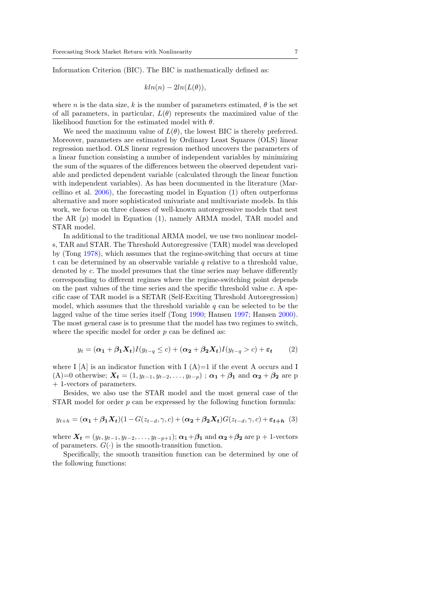Information Criterion (BIC). The BIC is mathematically defined as:

$$
kln(n) - 2ln(L(\theta)),
$$

where n is the data size, k is the number of parameters estimated,  $\theta$  is the set of all parameters, in particular,  $L(\theta)$  represents the maximized value of the likelihood function for the estimated model with  $\theta$ .

We need the maximum value of  $L(\theta)$ , the lowest BIC is thereby preferred. Moreover, parameters are estimated by Ordinary Least Squares (OLS) linear regression method. OLS linear regression method uncovers the parameters of a linear function consisting a number of independent variables by minimizing the sum of the squares of the differences between the observed dependent variable and predicted dependent variable (calculated through the linear function with independent variables). As has been documented in the literature (Marcellino et al. [2006\)](#page-22-10), the forecasting model in Equation (1) often outperforms alternative and more sophisticated univariate and multivariate models. In this work, we focus on three classes of well-known autoregressive models that nest the AR (p) model in Equation (1), namely ARMA model, TAR model and STAR model.

In additional to the traditional ARMA model, we use two nonlinear models, TAR and STAR. The Threshold Autoregressive (TAR) model was developed by (Tong [1978\)](#page-23-9), which assumes that the regime-switching that occurs at time t can be determined by an observable variable  $q$  relative to a threshold value, denoted by c. The model presumes that the time series may behave differently corresponding to different regimes where the regime-switching point depends on the past values of the time series and the specific threshold value c. A specific case of TAR model is a SETAR (Self-Exciting Threshold Autoregression) model, which assumes that the threshold variable  $q$  can be selected to be the lagged value of the time series itself (Tong [1990;](#page-23-10) Hansen [1997;](#page-21-13) Hansen [2000\)](#page-21-14). The most general case is to presume that the model has two regimes to switch, where the specific model for order  $p$  can be defined as:

$$
y_t = (\alpha_1 + \beta_1 X_t)I(y_{t-q} \le c) + (\alpha_2 + \beta_2 X_t)I(y_{t-q} > c) + \varepsilon_t \tag{2}
$$

where I  $[A]$  is an indicator function with I  $(A)=1$  if the event A occurs and I (A)=0 otherwise;  $X_t = (1, y_{t-1}, y_{t-2}, \dots, y_{t-p})$ ;  $\alpha_1 + \beta_1$  and  $\alpha_2 + \beta_2$  are p + 1-vectors of parameters.

Besides, we also use the STAR model and the most general case of the STAR model for order  $p$  can be expressed by the following function formula:

$$
y_{t+h} = (\alpha_1 + \beta_1 X_t)(1 - G(z_{t-d}, \gamma, c) + (\alpha_2 + \beta_2 X_t)G(z_{t-d}, \gamma, c) + \varepsilon_{t+h} (3)
$$

where  $\mathbf{X}_t = (y_t, y_{t-1}, y_{t-2}, \dots, y_{t-p+1}); \boldsymbol{\alpha_1} + \boldsymbol{\beta_1}$  and  $\boldsymbol{\alpha_2} + \boldsymbol{\beta_2}$  are p + 1-vectors of parameters.  $G(\cdot)$  is the smooth-transition function.

Specifically, the smooth transition function can be determined by one of the following functions: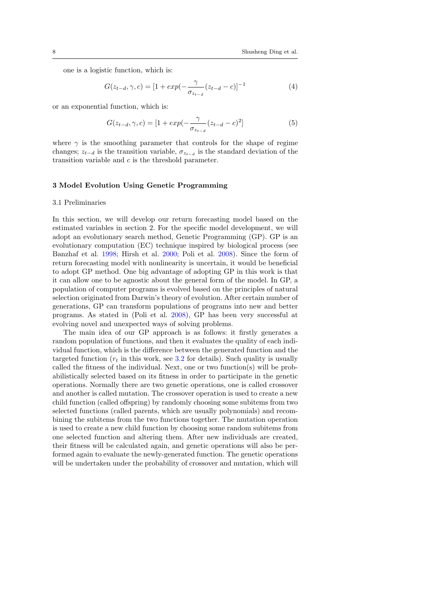one is a logistic function, which is:

$$
G(z_{t-d}, \gamma, c) = [1 + exp(-\frac{\gamma}{\sigma_{z_{t-d}}}(z_{t-d} - c)]^{-1}
$$
\n(4)

or an exponential function, which is:

$$
G(z_{t-d}, \gamma, c) = [1 + exp(-\frac{\gamma}{\sigma_{z_{t-d}}} (z_{t-d} - c)^2]
$$
\n(5)

where  $\gamma$  is the smoothing parameter that controls for the shape of regime changes;  $z_{t-d}$  is the transition variable,  $\sigma_{z_{t-d}}$  is the standard deviation of the transition variable and c is the threshold parameter.

#### 3 Model Evolution Using Genetic Programming

## 3.1 Preliminaries

In this section, we will develop our return forecasting model based on the estimated variables in section 2. For the specific model development, we will adopt an evolutionary search method, Genetic Programming (GP). GP is an evolutionary computation (EC) technique inspired by biological process (see Banzhaf et al. [1998;](#page-20-12) Hirsh et al. [2000;](#page-22-11) Poli et al. [2008\)](#page-23-11). Since the form of return forecasting model with nonlinearity is uncertain, it would be beneficial to adopt GP method. One big advantage of adopting GP in this work is that it can allow one to be agnostic about the general form of the model. In GP, a population of computer programs is evolved based on the principles of natural selection originated from Darwin's theory of evolution. After certain number of generations, GP can transform populations of programs into new and better programs. As stated in (Poli et al. [2008\)](#page-23-11), GP has been very successful at evolving novel and unexpected ways of solving problems.

The main idea of our GP approach is as follows: it firstly generates a random population of functions, and then it evaluates the quality of each individual function, which is the difference between the generated function and the targeted function  $(r_t$  in this work, see [3.2](#page-10-0) for details). Such quality is usually called the fitness of the individual. Next, one or two function(s) will be probabilistically selected based on its fitness in order to participate in the genetic operations. Normally there are two genetic operations, one is called crossover and another is called mutation. The crossover operation is used to create a new child function (called offspring) by randomly choosing some subitems from two selected functions (called parents, which are usually polynomials) and recombining the subitems from the two functions together. The mutation operation is used to create a new child function by choosing some random subitems from one selected function and altering them. After new individuals are created, their fitness will be calculated again, and genetic operations will also be performed again to evaluate the newly-generated function. The genetic operations will be undertaken under the probability of crossover and mutation, which will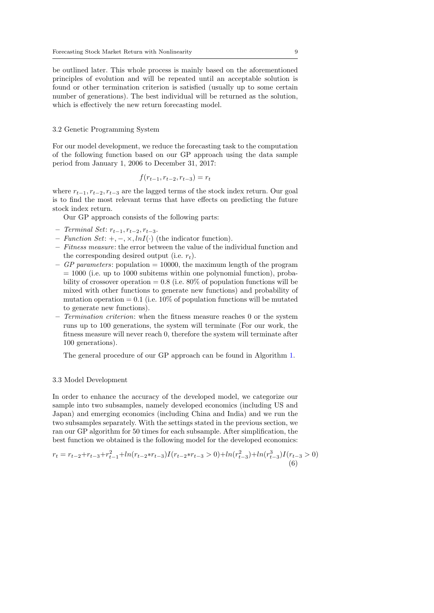be outlined later. This whole process is mainly based on the aforementioned principles of evolution and will be repeated until an acceptable solution is found or other termination criterion is satisfied (usually up to some certain number of generations). The best individual will be returned as the solution, which is effectively the new return forecasting model.

## <span id="page-10-0"></span>3.2 Genetic Programming System

For our model development, we reduce the forecasting task to the computation of the following function based on our GP approach using the data sample period from January 1, 2006 to December 31, 2017:

$$
f(r_{t-1}, r_{t-2}, r_{t-3}) = r_t
$$

where  $r_{t-1}, r_{t-2}, r_{t-3}$  are the lagged terms of the stock index return. Our goal is to find the most relevant terms that have effects on predicting the future stock index return.

Our GP approach consists of the following parts:

- $-$  Terminal Set:  $r_{t-1}, r_{t-2}, r_{t-3}.$
- Function Set:  $+,-, \times, lnI(.)$  (the indicator function).
- Fitness measure: the error between the value of the individual function and the corresponding desired output (i.e.  $r_t$ ).
- $GP$  parameters: population = 10000, the maximum length of the program  $= 1000$  (i.e. up to 1000 subitems within one polynomial function), probability of crossover operation =  $0.8$  (i.e.  $80\%$  of population functions will be mixed with other functions to generate new functions) and probability of mutation operation  $= 0.1$  (i.e. 10% of population functions will be mutated to generate new functions).
- Termination criterion: when the fitness measure reaches 0 or the system runs up to 100 generations, the system will terminate (For our work, the fitness measure will never reach 0, therefore the system will terminate after 100 generations).

The general procedure of our GP approach can be found in Algorithm [1.](#page-11-0)

#### 3.3 Model Development

In order to enhance the accuracy of the developed model, we categorize our sample into two subsamples, namely developed economics (including US and Japan) and emerging economics (including China and India) and we run the two subsamples separately. With the settings stated in the previous section, we ran our GP algorithm for 50 times for each subsample. After simplification, the best function we obtained is the following model for the developed economics:

$$
r_{t} = r_{t-2} + r_{t-3} + r_{t-1}^{2} + \ln(r_{t-2} * r_{t-3}) I(r_{t-2} * r_{t-3} > 0) + \ln(r_{t-3}^{2}) + \ln(r_{t-3}^{3}) I(r_{t-3} > 0)
$$
\n
$$
(6)
$$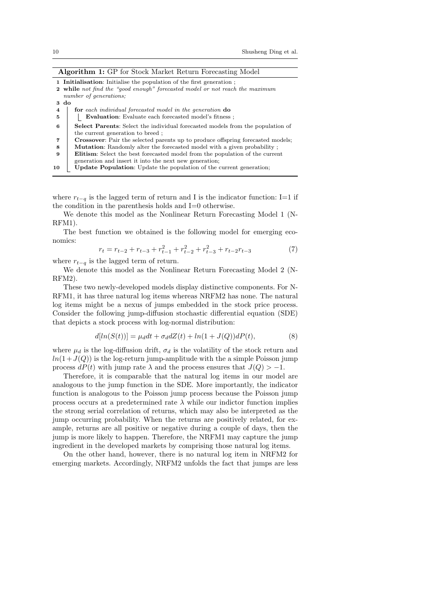| Algorithm 1: GP for Stock Market Return Forecasting Model |  |  |  |  |  |  |
|-----------------------------------------------------------|--|--|--|--|--|--|
|-----------------------------------------------------------|--|--|--|--|--|--|

- 1 Initialisation: Initialise the population of the first generation ;
- 2 while not find the "good enough" forecasted model or not reach the maximum number of generations;
- 3 do
- 4 **for** each individual forecasted model in the generation **do**
- 5 Evaluation: Evaluate each forecasted model's fitness ;
- 6 Select Parents: Select the individual forecasted models from the population of the current generation to breed ;
- 7 Crossover: Pair the selected parents up to produce offspring forecasted models;
- 8 Mutation: Randomly alter the forecasted model with a given probability;
- 9 Elitism: Select the best forecasted model from the population of the current generation and insert it into the next new generation;
- <span id="page-11-0"></span>10 Update Population: Update the population of the current generation;

where  $r_{t-q}$  is the lagged term of return and I is the indicator function: I=1 if the condition in the parenthesis holds and I=0 otherwise.

We denote this model as the Nonlinear Return Forecasting Model 1 (N-RFM1).

The best function we obtained is the following model for emerging economics:

$$
r_{t} = r_{t-2} + r_{t-3} + r_{t-1}^{2} + r_{t-2}^{2} + r_{t-3}^{2} + r_{t-2}r_{t-3}
$$
\n<sup>(7)</sup>

where  $r_{t-q}$  is the lagged term of return.

We denote this model as the Nonlinear Return Forecasting Model 2 (N-RFM2).

These two newly-developed models display distinctive components. For N-RFM1, it has three natural log items whereas NRFM2 has none. The natural log items might be a nexus of jumps embedded in the stock price process. Consider the following jump-diffusion stochastic differential equation (SDE) that depicts a stock process with log-normal distribution:

$$
d[ln(S(t))] = \mu_d dt + \sigma_d dZ(t) + ln(1 + J(Q))dP(t),
$$
\n(8)

where  $\mu_d$  is the log-diffusion drift,  $\sigma_d$  is the volatility of the stock return and  $ln(1+J(Q))$  is the log-return jump-amplitude with the a simple Poisson jump process  $dP(t)$  with jump rate  $\lambda$  and the process ensures that  $J(Q) > -1$ .

Therefore, it is comparable that the natural log items in our model are analogous to the jump function in the SDE. More importantly, the indicator function is analogous to the Poisson jump process because the Poisson jump process occurs at a predetermined rate  $\lambda$  while our indictor function implies the strong serial correlation of returns, which may also be interpreted as the jump occurring probability. When the returns are positively related, for example, returns are all positive or negative during a couple of days, then the jump is more likely to happen. Therefore, the NRFM1 may capture the jump ingredient in the developed markets by comprising those natural log items.

On the other hand, however, there is no natural log item in NRFM2 for emerging markets. Accordingly, NRFM2 unfolds the fact that jumps are less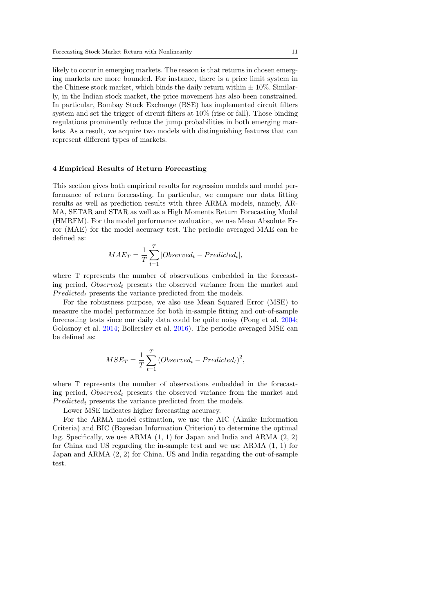likely to occur in emerging markets. The reason is that returns in chosen emerging markets are more bounded. For instance, there is a price limit system in the Chinese stock market, which binds the daily return within  $\pm 10\%$ . Similarly, in the Indian stock market, the price movement has also been constrained. In particular, Bombay Stock Exchange (BSE) has implemented circuit filters system and set the trigger of circuit filters at 10% (rise or fall). Those binding regulations prominently reduce the jump probabilities in both emerging markets. As a result, we acquire two models with distinguishing features that can represent different types of markets.

#### 4 Empirical Results of Return Forecasting

This section gives both empirical results for regression models and model performance of return forecasting. In particular, we compare our data fitting results as well as prediction results with three ARMA models, namely, AR-MA, SETAR and STAR as well as a High Moments Return Forecasting Model (HMRFM). For the model performance evaluation, we use Mean Absolute Error (MAE) for the model accuracy test. The periodic averaged MAE can be defined as:

$$
MAE_T = \frac{1}{T} \sum_{t=1}^{T} |Observed_t - Predicted_t|,
$$

where T represents the number of observations embedded in the forecasting period,  $Observed_t$  presents the observed variance from the market and  $Predicted_t$  presents the variance predicted from the models.

For the robustness purpose, we also use Mean Squared Error (MSE) to measure the model performance for both in-sample fitting and out-of-sample forecasting tests since our daily data could be quite noisy (Pong et al. [2004;](#page-23-12) Golosnoy et al. [2014;](#page-21-15) Bollerslev et al. [2016\)](#page-20-13). The periodic averaged MSE can be defined as:

$$
MSE_T = \frac{1}{T} \sum_{t=1}^{T} (Observed_t - Predicted_t)^2,
$$

where T represents the number of observations embedded in the forecasting period,  $Observed_t$  presents the observed variance from the market and  $Predicted_t$  presents the variance predicted from the models.

Lower MSE indicates higher forecasting accuracy.

For the ARMA model estimation, we use the AIC (Akaike Information Criteria) and BIC (Bayesian Information Criterion) to determine the optimal lag. Specifically, we use ARMA  $(1, 1)$  for Japan and India and ARMA  $(2, 2)$ for China and US regarding the in-sample test and we use ARMA (1, 1) for Japan and ARMA (2, 2) for China, US and India regarding the out-of-sample test.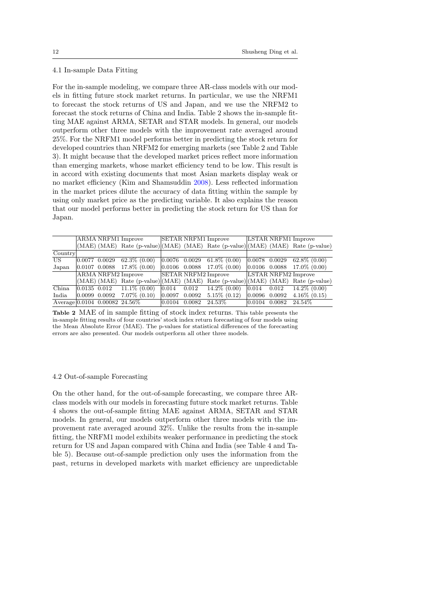## 4.1 In-sample Data Fitting

For the in-sample modeling, we compare three AR-class models with our models in fitting future stock market returns. In particular, we use the NRFM1 to forecast the stock returns of US and Japan, and we use the NRFM2 to forecast the stock returns of China and India. Table 2 shows the in-sample fitting MAE against ARMA, SETAR and STAR models. In general, our models outperform other three models with the improvement rate averaged around 25%. For the NRFM1 model performs better in predicting the stock return for developed countries than NRFM2 for emerging markets (see Table 2 and Table 3). It might because that the developed market prices reflect more information than emerging markets, whose market efficiency tend to be low. This result is in accord with existing documents that most Asian markets display weak or no market efficiency (Kim and Shamsuddin [2008\)](#page-22-12). Less reflected information in the market prices dilute the accuracy of data fitting within the sample by using only market price as the predicting variable. It also explains the reason that our model performs better in predicting the stock return for US than for Japan.

|         |                     |             | ARMA NRFM1 Improve                                                                 |               |        | <b>SETAR NRFM1 Improve</b>   |                        |        | LSTAR NRFM1 Improve |
|---------|---------------------|-------------|------------------------------------------------------------------------------------|---------------|--------|------------------------------|------------------------|--------|---------------------|
|         |                     |             | $(MAE)$ (MAE) Rate (p-value) (MAE) (MAE) Rate (p-value) (MAE) (MAE) Rate (p-value) |               |        |                              |                        |        |                     |
| Country |                     |             |                                                                                    |               |        |                              |                        |        |                     |
| US      | 0.0077 0.0029       |             | $62.3\%$ $(0.00)$                                                                  | 0.0076        | 0.0029 | $61.8\%$ $(0.00)$            | $ 0.0078 \quad 0.0029$ |        | $62.8\%$ $(0.00)$   |
| Japan   | 0.0107 0.0088       |             | $17.8\%$ $(0.00)$                                                                  | 0.0106 0.0088 |        | $17.0\%$ (0.00)              | 0.0106 0.0088          |        | $17.0\%$ $(0.00)$   |
|         |                     |             | ARMA NRFM2 Improve                                                                 |               |        | SETAR NRFM2 Improve          |                        |        | LSTAR NRFM2 Improve |
|         |                     | (MAE) (MAE) | Rate $(p-value)/(MAE)$ (MAE)                                                       |               |        | Rate $(p-value) (MAE)$ (MAE) |                        |        | Rate (p-value)      |
| China   | 0.0135 0.012        |             | $11.1\% (0.00)$                                                                    | 0.014         | 0.012  | $14.2\%$ $(0.00)$            | 0.014                  | 0.012  | $14.2\%$ (0.00)     |
| India   | $ 0.0099 \; 0.0092$ |             | $7.07\%$ $(0.10)$                                                                  | 0.0097        | 0.0092 | $5.15\%$ $(0.12)$            | 0.0096                 | 0.0092 | $4.16\%$ $(0.15)$   |
|         |                     |             | Average $ 0.0104$ 0.00082 24.56\%                                                  | 0.0104        | 0.0082 | $24.53\%$                    | $ 0.0104\rangle$       | 0.0082 | 24.54%              |

Table 2 MAE of in sample fitting of stock index returns. This table presents the in-sample fitting results of four countries' stock index return forecasting of four models using the Mean Absolute Error (MAE). The p-values for statistical differences of the forecasting errors are also presented. Our models outperform all other three models.

#### 4.2 Out-of-sample Forecasting

On the other hand, for the out-of-sample forecasting, we compare three ARclass models with our models in forecasting future stock market returns. Table 4 shows the out-of-sample fitting MAE against ARMA, SETAR and STAR models. In general, our models outperform other three models with the improvement rate averaged around 32%. Unlike the results from the in-sample fitting, the NRFM1 model exhibits weaker performance in predicting the stock return for US and Japan compared with China and India (see Table 4 and Table 5). Because out-of-sample prediction only uses the information from the past, returns in developed markets with market efficiency are unpredictable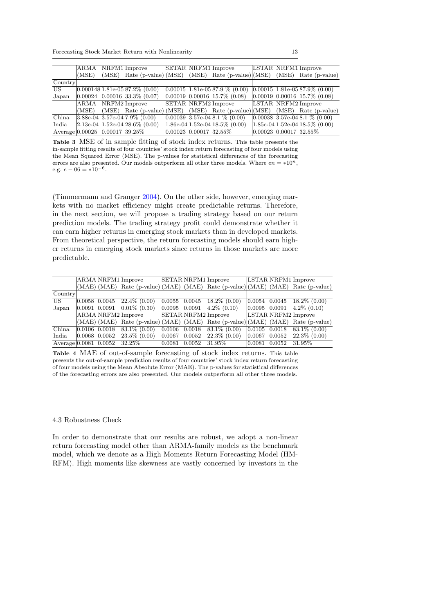|                                                           |       |       | ARMA NRFM1 Improve                         |                              | SETAR NRFM1 Improve                           |                              | LSTAR NRFM1 Improve                   |
|-----------------------------------------------------------|-------|-------|--------------------------------------------|------------------------------|-----------------------------------------------|------------------------------|---------------------------------------|
|                                                           | (MSE) | (MSE) | Rate $(p-value)/(MSE)$                     |                              | $(MSE)$ Rate (p-value) $(MSE)$                | (MSE)                        | Rate (p-value)                        |
| Country                                                   |       |       |                                            |                              |                                               |                              |                                       |
| US                                                        |       |       | $ 0.0001481.81e-0587.2\% 0.00\rangle$      |                              | $[0.00015 \t1.81e-0587.9 \t% (0.00)]$         |                              | $ 0.00015 \t1.81e-0587.9\% \t(0.00) $ |
| Japan                                                     |       |       | $ 0.00024 \t0.00016 \t33.3\% \t(0.07) $    |                              | $ 0.00019, 0.00016, 15.7\%$ (0.08)            |                              | $ 0.00019, 0.00016, 15.7\%$ (0.08)    |
|                                                           |       |       | ARMA NRFM2 Improve                         |                              | <b>SETAR NRFM2 Improve</b>                    |                              | LSTAR NRFM2 Improve                   |
|                                                           | (MSE) |       | $(MSE)$ Rate (p-value) $(MSE)$             |                              | $(MSE)$ Rate (p-value) $(MSE)$                |                              | $(MSE)$ Rate (p-value)                |
| China                                                     |       |       | $ 3.88e-04 \; 3.57e-04 \; 7.9\% \; (0.00)$ |                              | $ 0.00039 \; 3.57e-04 \; 8.1 \; \% \; (0.00)$ |                              | $[0.00038 \t3.57e-048.1 \t% (0.00)]$  |
| India                                                     |       |       | $ 2.13e-04 \t1.52e-04 \t28.6\% \t(0.00) $  |                              | $1.86e-04$ 1.52e-04 18.5% (0.00)              |                              | $1.85e-04$ 1.52e-04 18.5% (0.00)      |
| Average $ 0.00025 \overline{0.00017} \overline{39.25\%} $ |       |       |                                            | $ 0.00023, 0.00017, 32.55\%$ |                                               | $ 0.00023, 0.00017, 32.55\%$ |                                       |

Table 3 MSE of in sample fitting of stock index returns. This table presents the in-sample fitting results of four countries' stock index return forecasting of four models using the Mean Squared Error (MSE). The p-values for statistical differences of the forecasting errors are also presented. Our models outperform all other three models. Where  $en = *10^n$ , e.g.  $e - 06 = *10^{-6}$ .

(Timmermann and Granger [2004\)](#page-23-13). On the other side, however, emerging markets with no market efficiency might create predictable returns. Therefore, in the next section, we will propose a trading strategy based on our return prediction models. The trading strategy profit could demonstrate whether it can earn higher returns in emerging stock markets than in developed markets. From theoretical perspective, the return forecasting models should earn higher returns in emerging stock markets since returns in those markets are more predictable.

|                                  |                    |               | ARMA NRFM1 Improve |                        |        | <b>SETAR NRFM1 Improve</b>                      |                        |        | LSTAR NRFM1 Improve                                                                      |
|----------------------------------|--------------------|---------------|--------------------|------------------------|--------|-------------------------------------------------|------------------------|--------|------------------------------------------------------------------------------------------|
|                                  |                    |               |                    |                        |        |                                                 |                        |        | $(MAE)$ (MAE) Rate (p-value) $ (MAE)$ (MAE) Rate (p-value) $ (MAE)$ (MAE) Rate (p-value) |
| Country                          |                    |               |                    |                        |        |                                                 |                        |        |                                                                                          |
| US                               | $ 0.0058 \t0.0045$ |               | $22.4\%$ (0.00)    | $ 0.0055 \quad 0.0045$ |        | $18.2\%$ (0.00)                                 | $ 0.0054 \quad 0.0045$ |        | $18.2\%$ (0.00)                                                                          |
| Japan                            |                    | 0.0091 0.0091 | $0.01\%$ $(0.30)$  |                        |        | $ 0.0095 \quad 0.0091 \quad 4.2\% \quad (0.10)$ |                        |        | $ 0.0095 \t0.0091 \t4.2\% \t(0.10) $                                                     |
|                                  |                    |               | ARMA NRFM2 Improve |                        |        | <b>SETAR NRFM2 Improve</b>                      |                        |        | <b>LSTAR NRFM2 Improve</b>                                                               |
|                                  |                    |               |                    |                        |        |                                                 |                        |        | $(MAE)$ (MAE) Rate (p-value) (MAE) (MAE) Rate (p-value) (MAE) (MAE) Rate (p-value)       |
| China                            | 0.0106 0.0018      |               | $83.1\%$ (0.00)    | 0.0106                 | 0.0018 | $83.1\%$ (0.00)                                 | 0.0105 0.0018          |        | $83.1\%$ (0.00)                                                                          |
| India                            | 0.0068 0.0052      |               | $23.5\%$ $(0.00)$  | $ 0.0067 \quad 0.0052$ |        | $22.3\%$ (0.00)                                 | $ 0.0067\rangle$       | 0.0052 | $22.3\%$ (0.00)                                                                          |
| Average $ 0.0081, 0.0052\rangle$ |                    |               | $32.25\%$          | $ 0.0081\rangle$       | 0.0052 | $31.95\%$                                       | 0.0081                 | 0.0052 | 31.95%                                                                                   |

Table 4 MAE of out-of-sample forecasting of stock index returns. This table presents the out-of-sample prediction results of four countries' stock index return forecasting of four models using the Mean Absolute Error (MAE). The p-values for statistical differences of the forecasting errors are also presented. Our models outperform all other three models.

#### 4.3 Robustness Check

In order to demonstrate that our results are robust, we adopt a non-linear return forecasting model other than ARMA-family models as the benchmark model, which we denote as a High Moments Return Forecasting Model (HM-RFM). High moments like skewness are vastly concerned by investors in the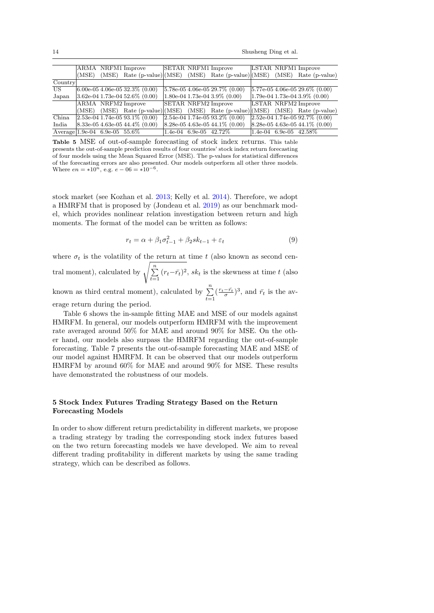14 Shusheng Ding et al.

|                                         |       |       | ARMA NRFM1 Improve                                        |                           | <b>SETAR NRFM1</b> Improve        |                           | LSTAR NRFM1 Improve                  |
|-----------------------------------------|-------|-------|-----------------------------------------------------------|---------------------------|-----------------------------------|---------------------------|--------------------------------------|
|                                         | (MSE) | (MSE) | Rate $(p-value)/(MSE)$                                    | (MSE)                     | Rate $(p-value) (MSE)$            | (MSE)                     | Rate (p-value)                       |
| Country                                 |       |       |                                                           |                           |                                   |                           |                                      |
| US                                      |       |       | $6.00e-05$ 4.06e-05 32.3% (0.00)                          |                           | $ 5.78e-054.06e-0529.7\% (0.00) $ |                           | $5.77e-054.06e-0529.6\%$ (0.00)      |
| Japan                                   |       |       | $ 3.62e-041.73e-0452.6\% (0.00) $                         |                           | $1.80e-04$ 1.73e-04 3.9% (0.00)   |                           | $ 1.79e-041.73e-043.9\% 0.00\rangle$ |
|                                         |       |       | ARMA NRFM2 Improve                                        |                           | <b>SETAR NRFM2 Improve</b>        |                           | <b>LSTAR NRFM2 Improve</b>           |
|                                         | (MSE) |       | $(MSE)$ Rate $(p-value)/(MSE)$                            |                           | $(MSE)$ Rate (p-value) $(MSE)$    |                           | (MSE) Rate (p-value)                 |
| China                                   |       |       | $2.53e-04$ 1.74e-05 93.1% (0.00)                          |                           | $2.54e-04$ 1.74e-05 93.2% (0.00)  |                           | $2.52e-04$ 1.74e-05 92.7% (0.00)     |
| India                                   |       |       | $\vert 8.33e\text{-}054.63e\text{-}0544.4\% (0.00) \vert$ |                           | $8.28e-05$ 4.63e-05 44.1\% (0.00) |                           | $8.28e-05$ 4.63e-05 44.1\% (0.00)    |
| Average $ 1.9e-04 \t 6.9e-05 \t 55.6\%$ |       |       |                                                           | $1.4e-04$ 6.9e-05 42.72\% |                                   | $1.4e-04$ 6.9e-05 42.58\% |                                      |

Table 5 MSE of out-of-sample forecasting of stock index returns. This table presents the out-of-sample prediction results of four countries' stock index return forecasting of four models using the Mean Squared Error (MSE). The p-values for statistical differences of the forecasting errors are also presented. Our models outperform all other three models. Where  $en = *10^n$ , e.g.  $e - 06 = *10^{-6}$ .

stock market (see Kozhan et al. [2013;](#page-22-13) Kelly et al. [2014\)](#page-22-14). Therefore, we adopt a HMRFM that is proposed by (Jondeau et al. [2019\)](#page-22-15) as our benchmark model, which provides nonlinear relation investigation between return and high moments. The format of the model can be written as follows:

$$
r_t = \alpha + \beta_1 \sigma_{t-1}^2 + \beta_2 sk_{t-1} + \varepsilon_t \tag{9}
$$

where  $\sigma_t$  is the volatility of the return at time t (also known as second central moment), calculated by  $\sqrt{\sum_{n=1}^{n}}$  $\sum_{t=1} (r_t - \bar{r}_t)^2$ , sk<sub>t</sub> is the skewness at time t (also known as third central moment), calculated by  $\sum_{t=1}^{n} (\frac{r_t - \bar{r}_t}{\sigma})^3$ , and  $\bar{r}_t$  is the av-

erage return during the period.

Table 6 shows the in-sample fitting MAE and MSE of our models against HMRFM. In general, our models outperform HMRFM with the improvement rate averaged around 50% for MAE and around 90% for MSE. On the other hand, our models also surpass the HMRFM regarding the out-of-sample forecasting. Table 7 presents the out-of-sample forecasting MAE and MSE of our model against HMRFM. It can be observed that our models outperform HMRFM by around 60% for MAE and around 90% for MSE. These results have demonstrated the robustness of our models.

## 5 Stock Index Futures Trading Strategy Based on the Return Forecasting Models

In order to show different return predictability in different markets, we propose a trading strategy by trading the corresponding stock index futures based on the two return forecasting models we have developed. We aim to reveal different trading profitability in different markets by using the same trading strategy, which can be described as follows.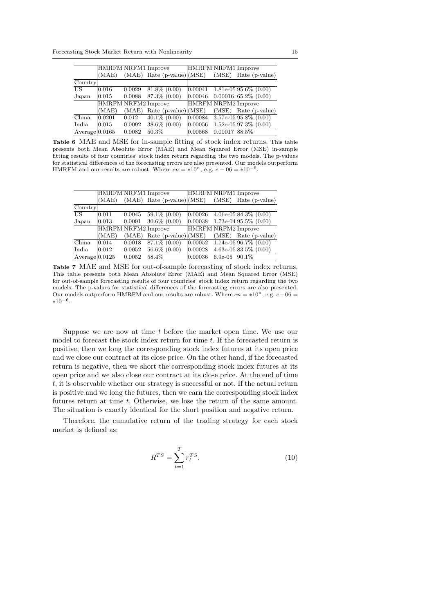|         | HMRFM NRFM1 Improve |        |                                | <b>HMRFM NRFM1 Improve</b> |       |                                                      |
|---------|---------------------|--------|--------------------------------|----------------------------|-------|------------------------------------------------------|
|         | (MAE)               |        | $(MAE)$ Rate $(p-value)/(MSE)$ |                            | (MSE) | Rate (p-value)                                       |
| Country |                     |        |                                |                            |       |                                                      |
| US      | 0.016               | 0.0029 | $81.8\%$ (0.00)                |                            |       | $ 0.00041 \t1.81e-0595.6\% \t(0.00) $                |
| Japan   | 0.015               | 0.0088 | $87.3\%$ $(0.00)$              |                            |       | $ 0.00046$ 0.00016 65.2\% (0.00)                     |
|         |                     |        | <b>HMRFM NRFM2 Improve</b>     | <b>HMRFM NRFM2 Improve</b> |       |                                                      |
|         | (MAE)               | (MAE)  | Rate $(p-value)/(MSE)$ (MSE)   |                            |       | Rate (p-value)                                       |
| China   | 0.0201              | 0.012  | $40.1\% (0.00)$                |                            |       | $[0.00084 \quad 3.57e-05 \quad 95.8\% \quad (0.00)]$ |
|         |                     |        |                                |                            |       |                                                      |
| India   | $ 0.015\rangle$     | 0.0092 | $38.6\%$ $(0.00)$              | 0.00056                    |       | $1.52e-0597.3\%$ (0.00)                              |

Table 6 MAE and MSE for in-sample fitting of stock index returns. This table presents both Mean Absolute Error (MAE) and Mean Squared Error (MSE) in-sample fitting results of four countries' stock index return regarding the two models. The p-values for statistical differences of the forecasting errors are also presented. Our models outperform HMRFM and our results are robust. Where  $en = *10^n$ , e.g.  $e - 06 = *10^{-6}$ .

|                        | <b>HMRFM NRFM1 Improve</b> |        |                        | <b>HMRFM NRFM1 Improve</b> |            |                          |
|------------------------|----------------------------|--------|------------------------|----------------------------|------------|--------------------------|
|                        | (MAE)                      | (MAE)  | Rate $(p-value)/(MSE)$ |                            | (MSE)      | Rate (p-value)           |
| Country                |                            |        |                        |                            |            |                          |
| US                     | 0.011                      | 0.0045 | $59.1\% (0.00)$        | 0.00026                    |            | $4.06e-0584.3\%$ (0.00)  |
| Japan                  | 0.013                      | 0.0091 | $30.6\%$ $(0.00)$      | 0.00038                    |            | 1.73e-04 $95.5\%$ (0.00) |
|                        | <b>HMRFM NRFM2 Improve</b> |        |                        | <b>HMRFM NRFM2 Improve</b> |            |                          |
|                        | (MAE)                      | (MAE)  | Rate $(p-value)/(MSE)$ |                            | (MSE)      | Rate (p-value)           |
| China                  | 0.014                      | 0.0018 | $87.1\%$ (0.00)        | 0.00052                    |            | $1.74e-0596.7\%$ (0.00)  |
| India.                 | $ 0.012\rangle$            | 0.0052 | $56.6\%$ $(0.00)$      | 0.00028                    |            | 4.63e-05 83.5% $(0.00)$  |
| $Average \vert 0.0125$ |                            | 0.0052 | 58.4%                  | 0.00036                    | $6.9e-0.5$ | $90.1\%$                 |

Table 7 MAE and MSE for out-of-sample forecasting of stock index returns. This table presents both Mean Absolute Error (MAE) and Mean Squared Error (MSE) for out-of-sample forecasting results of four countries' stock index return regarding the two models. The p-values for statistical differences of the forecasting errors are also presented. Our models outperform HMRFM and our results are robust. Where  $en = *10<sup>n</sup>$ , e.g.  $e-06 =$ ∗10−<sup>6</sup> .

Suppose we are now at time  $t$  before the market open time. We use our model to forecast the stock index return for time  $t$ . If the forecasted return is positive, then we long the corresponding stock index futures at its open price and we close our contract at its close price. On the other hand, if the forecasted return is negative, then we short the corresponding stock index futures at its open price and we also close our contract at its close price. At the end of time t, it is observable whether our strategy is successful or not. If the actual return is positive and we long the futures, then we earn the corresponding stock index futures return at time t. Otherwise, we lose the return of the same amount. The situation is exactly identical for the short position and negative return.

Therefore, the cumulative return of the trading strategy for each stock market is defined as:

$$
R^{TS} = \sum_{t=1}^{T} r_t^{TS}.
$$
 (10)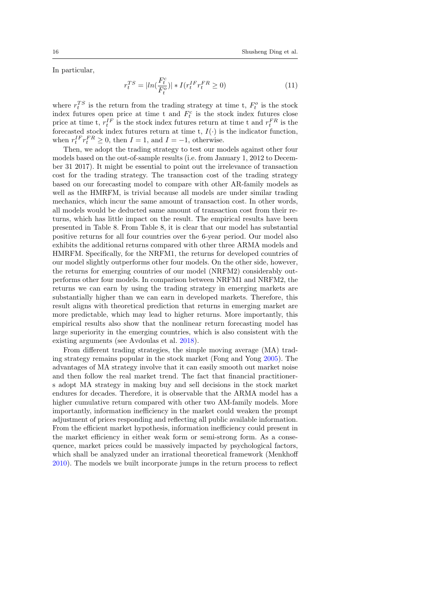In particular,

$$
r_t^{TS} = |ln(\frac{F_t^c}{F_t^o})| * I(r_t^{IF} r_t^{FR} \ge 0)
$$
\n(11)

where  $r_t^{TS}$  is the return from the trading strategy at time t,  $F_t^o$  is the stock index futures open price at time t and  $F_t^c$  is the stock index futures close price at time t,  $r_t^{IF}$  is the stock index futures return at time t and  $r_t^{FR}$  is the forecasted stock index futures return at time t,  $I(.)$  is the indicator function, when  $r_t^{IF} r_t^{FR} \geq 0$ , then  $I = 1$ , and  $I = -1$ , otherwise.

Then, we adopt the trading strategy to test our models against other four models based on the out-of-sample results (i.e. from January 1, 2012 to December 31 2017). It might be essential to point out the irrelevance of transaction cost for the trading strategy. The transaction cost of the trading strategy based on our forecasting model to compare with other AR-family models as well as the HMRFM, is trivial because all models are under similar trading mechanics, which incur the same amount of transaction cost. In other words, all models would be deducted same amount of transaction cost from their returns, which has little impact on the result. The empirical results have been presented in Table 8. From Table 8, it is clear that our model has substantial positive returns for all four countries over the 6-year period. Our model also exhibits the additional returns compared with other three ARMA models and HMRFM. Specifically, for the NRFM1, the returns for developed countries of our model slightly outperforms other four models. On the other side, however, the returns for emerging countries of our model (NRFM2) considerably outperforms other four models. In comparison between NRFM1 and NRFM2, the returns we can earn by using the trading strategy in emerging markets are substantially higher than we can earn in developed markets. Therefore, this result aligns with theoretical prediction that returns in emerging market are more predictable, which may lead to higher returns. More importantly, this empirical results also show that the nonlinear return forecasting model has large superiority in the emerging countries, which is also consistent with the existing arguments (see Avdoulas et al. [2018\)](#page-20-4).

From different trading strategies, the simple moving average (MA) trading strategy remains popular in the stock market (Fong and Yong [2005\)](#page-21-16). The advantages of MA strategy involve that it can easily smooth out market noise and then follow the real market trend. The fact that financial practitioners adopt MA strategy in making buy and sell decisions in the stock market endures for decades. Therefore, it is observable that the ARMA model has a higher cumulative return compared with other two AM-family models. More importantly, information inefficiency in the market could weaken the prompt adjustment of prices responding and reflecting all public available information. From the efficient market hypothesis, information inefficiency could present in the market efficiency in either weak form or semi-strong form. As a consequence, market prices could be massively impacted by psychological factors, which shall be analyzed under an irrational theoretical framework (Menkhoff [2010\)](#page-22-16). The models we built incorporate jumps in the return process to reflect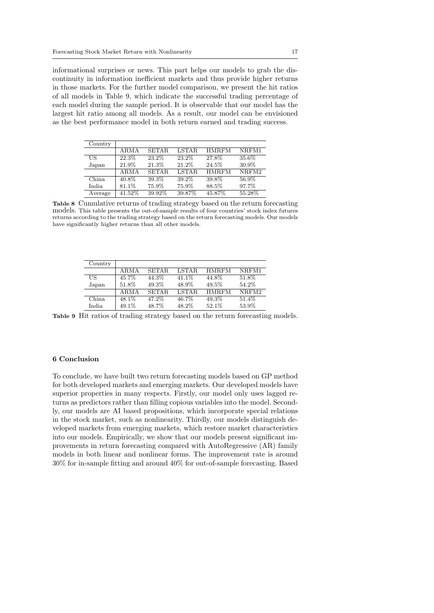informational surprises or news. This part helps our models to grab the discontinuity in information inefficient markets and thus provide higher returns in those markets. For the further model comparison, we present the hit ratios of all models in Table 9, which indicate the successful trading percentage of each model during the sample period. It is observable that our model has the largest hit ratio among all models. As a result, our model can be envisioned as the best performance model in both return earned and trading success.

| Country |             |              |              |              |        |
|---------|-------------|--------------|--------------|--------------|--------|
|         | <b>ARMA</b> | <b>SETAR</b> | <b>LSTAR</b> | <b>HMRFM</b> | NRFM1  |
| US      | 22.3%       | 23.2\%       | 23.2%        | 27.8%        | 35.6%  |
| Japan   | 21.9%       | 21.3%        | 21.2%        | 24.5%        | 30.9%  |
|         | <b>ARMA</b> | <b>SETAR</b> | <b>LSTAR</b> | <b>HMRFM</b> | NRFM2  |
| China.  | 40.8%       | 39.3%        | 39.2%        | 39.8%        | 56.9%  |
| India   | 81.1\%      | 75.9%        | 75.9%        | 88.5%        | 97.7%  |
| Average | 41.52%      | 39.92%       | 39.87%       | 45.87%       | 55.28% |

Table 8 Cumulative returns of trading strategy based on the return forecasting models. This table presents the out-of-sample results of four countries' stock index futures returns according to the trading strategy based on the return forecasting models. Our models have significantly higher returns than all other models.

| Country |             |              |        |              |       |
|---------|-------------|--------------|--------|--------------|-------|
|         | ARMA        | <b>SETAR</b> | LSTAR. | <b>HMRFM</b> | NRFM1 |
| US      | 45.7%       | 44.3%        | 41.1%  | 44.8%        | 51.8% |
| Japan   | 51.8%       | 49.3%        | 48.9%  | 49.5%        | 54.2% |
|         | <b>ARMA</b> | SETAR.       | LSTAR. | <b>HMRFM</b> | NRFM2 |
| China.  | 48.1\%      | 47.2%        | 46.7%  | 49.3%        | 51.4% |
| India   | 49.1%       | 48.7%        | 48.2%  | 52.1%        | 53.9% |

Table 9 Hit ratios of trading strategy based on the return forecasting models.

## 6 Conclusion

To conclude, we have built two return forecasting models based on GP method for both developed markets and emerging markets. Our developed models have superior properties in many respects. Firstly, our model only uses lagged returns as predictors rather than filling copious variables into the model. Secondly, our models are AI based propositions, which incorporate special relations in the stock market, such as nonlinearity. Thirdly, our models distinguish developed markets from emerging markets, which restore market characteristics into our models. Empirically, we show that our models present significant improvements in return forecasting compared with AutoRegressive (AR) family models in both linear and nonlinear forms. The improvement rate is around 30% for in-sample fitting and around 40% for out-of-sample forecasting. Based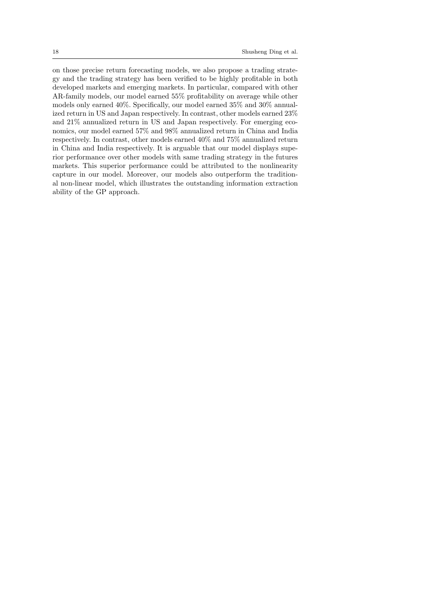on those precise return forecasting models, we also propose a trading strategy and the trading strategy has been verified to be highly profitable in both developed markets and emerging markets. In particular, compared with other AR-family models, our model earned 55% profitability on average while other models only earned 40%. Specifically, our model earned 35% and 30% annualized return in US and Japan respectively. In contrast, other models earned 23% and 21% annualized return in US and Japan respectively. For emerging economics, our model earned 57% and 98% annualized return in China and India respectively. In contrast, other models earned 40% and 75% annualized return in China and India respectively. It is arguable that our model displays superior performance over other models with same trading strategy in the futures markets. This superior performance could be attributed to the nonlinearity capture in our model. Moreover, our models also outperform the traditional non-linear model, which illustrates the outstanding information extraction ability of the GP approach.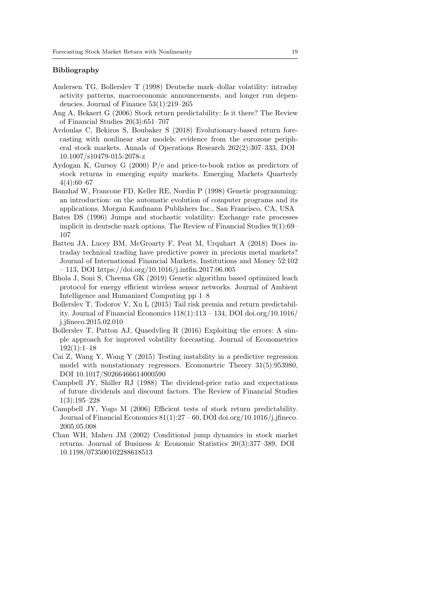#### Bibliography

- <span id="page-20-11"></span>Andersen TG, Bollerslev T (1998) Deutsche mark–dollar volatility: intraday activity patterns, macroeconomic announcements, and longer run dependencies. Journal of Finance 53(1):219–265
- <span id="page-20-0"></span>Ang A, Bekaert G (2006) Stock return predictability: Is it there? The Review of Financial Studies 20(3):651–707
- <span id="page-20-4"></span>Avdoulas C, Bekiros S, Boubaker S (2018) Evolutionary-based return forecasting with nonlinear star models: evidence from the eurozone peripheral stock markets. Annals of Operations Research 262(2):307–333, DOI 10.1007/s10479-015-2078-z
- <span id="page-20-7"></span>Aydogan K, Gursoy G (2000) P/e and price-to-book ratios as predictors of stock returns in emerging equity markets. Emerging Markets Quarterly  $4(4):60-67$
- <span id="page-20-12"></span>Banzhaf W, Francone FD, Keller RE, Nordin P (1998) Genetic programming: an introduction: on the automatic evolution of computer programs and its applications. Morgan Kaufmann Publishers Inc., San Francisco, CA, USA
- <span id="page-20-6"></span>Bates DS (1996) Jumps and stochastic volatility: Exchange rate processes implicit in deutsche mark options. The Review of Financial Studies 9(1):69– 107
- <span id="page-20-9"></span>Batten JA, Lucey BM, McGroarty F, Peat M, Urquhart A (2018) Does intraday technical trading have predictive power in precious metal markets? Journal of International Financial Markets, Institutions and Money 52:102  $-113$ , DOI https://doi.org/10.1016/j.intfin.2017.06.005
- <span id="page-20-10"></span>Bhola J, Soni S, Cheema GK (2019) Genetic algorithm based optimized leach protocol for energy efficient wireless sensor networks. Journal of Ambient Intelligence and Humanized Computing pp 1–8
- <span id="page-20-2"></span>Bollerslev T, Todorov V, Xu L (2015) Tail risk premia and return predictability. Journal of Financial Economics 118(1):113 – 134, DOI doi.org/10.1016/ j.jfineco.2015.02.010
- <span id="page-20-13"></span>Bollerslev T, Patton AJ, Quaedvlieg R (2016) Exploiting the errors: A simple approach for improved volatility forecasting. Journal of Econometrics 192(1):1–18
- <span id="page-20-8"></span>Cai Z, Wang Y, Wang Y (2015) Testing instability in a predictive regression model with nonstationary regressors. Econometric Theory 31(5):953980, DOI 10.1017/S0266466614000590
- <span id="page-20-3"></span>Campbell JY, Shiller RJ (1988) The dividend-price ratio and expectations of future dividends and discount factors. The Review of Financial Studies 1(3):195–228
- <span id="page-20-1"></span>Campbell JY, Yogo M (2006) Efficient tests of stock return predictability. Journal of Financial Economics 81(1):27 – 60, DOI doi.org/10.1016/j.jfineco. 2005.05.008
- <span id="page-20-5"></span>Chan WH, Maheu JM (2002) Conditional jump dynamics in stock market returns. Journal of Business & Economic Statistics 20(3):377–389, DOI 10.1198/073500102288618513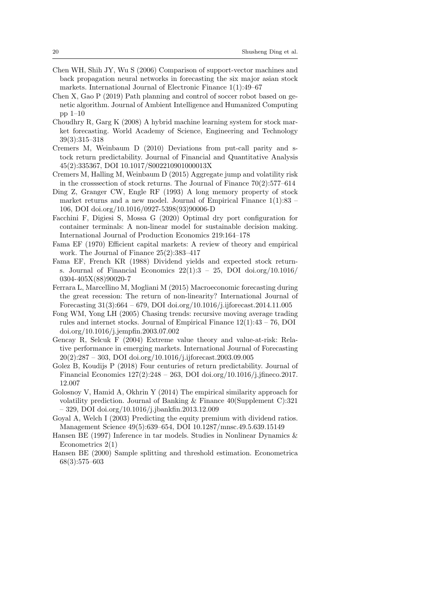- <span id="page-21-6"></span>Chen WH, Shih JY, Wu S (2006) Comparison of support-vector machines and back propagation neural networks in forecasting the six major asian stock markets. International Journal of Electronic Finance 1(1):49–67
- <span id="page-21-11"></span>Chen X, Gao P (2019) Path planning and control of soccer robot based on genetic algorithm. Journal of Ambient Intelligence and Humanized Computing pp 1–10
- <span id="page-21-7"></span>Choudhry R, Garg K (2008) A hybrid machine learning system for stock market forecasting. World Academy of Science, Engineering and Technology 39(3):315–318
- <span id="page-21-8"></span>Cremers M, Weinbaum D (2010) Deviations from put-call parity and stock return predictability. Journal of Financial and Quantitative Analysis 45(2):335367, DOI 10.1017/S002210901000013X
- <span id="page-21-4"></span>Cremers M, Halling M, Weinbaum D (2015) Aggregate jump and volatility risk in the crosssection of stock returns. The Journal of Finance 70(2):577–614
- <span id="page-21-3"></span>Ding Z, Granger CW, Engle RF (1993) A long memory property of stock market returns and a new model. Journal of Empirical Finance  $1(1):83$  – 106, DOI doi.org/10.1016/0927-5398(93)90006-D
- <span id="page-21-10"></span>Facchini F, Digiesi S, Mossa G (2020) Optimal dry port configuration for container terminals: A non-linear model for sustainable decision making. International Journal of Production Economics 219:164–178
- <span id="page-21-0"></span>Fama EF (1970) Efficient capital markets: A review of theory and empirical work. The Journal of Finance 25(2):383–417
- <span id="page-21-1"></span>Fama EF, French KR (1988) Dividend yields and expected stock returns. Journal of Financial Economics  $22(1):3 - 25$ , DOI doi.org/10.1016/ 0304-405X(88)90020-7
- <span id="page-21-12"></span>Ferrara L, Marcellino M, Mogliani M (2015) Macroeconomic forecasting during the great recession: The return of non-linearity? International Journal of Forecasting 31(3):664 – 679, DOI doi.org/10.1016/j.ijforecast.2014.11.005
- <span id="page-21-16"></span>Fong WM, Yong LH (2005) Chasing trends: recursive moving average trading rules and internet stocks. Journal of Empirical Finance 12(1):43 – 76, DOI doi.org/10.1016/j.jempfin.2003.07.002
- <span id="page-21-5"></span>Gencay R, Selcuk F (2004) Extreme value theory and value-at-risk: Relative performance in emerging markets. International Journal of Forecasting 20(2):287 – 303, DOI doi.org/10.1016/j.ijforecast.2003.09.005
- <span id="page-21-2"></span>Golez B, Koudijs P (2018) Four centuries of return predictability. Journal of Financial Economics 127(2):248 – 263, DOI doi.org/10.1016/j.jfineco.2017. 12.007
- <span id="page-21-15"></span>Golosnoy V, Hamid A, Okhrin Y (2014) The empirical similarity approach for volatility prediction. Journal of Banking & Finance 40(Supplement C):321 – 329, DOI doi.org/10.1016/j.jbankfin.2013.12.009
- <span id="page-21-9"></span>Goyal A, Welch I (2003) Predicting the equity premium with dividend ratios. Management Science 49(5):639–654, DOI 10.1287/mnsc.49.5.639.15149
- <span id="page-21-13"></span>Hansen BE (1997) Inference in tar models. Studies in Nonlinear Dynamics & Econometrics 2(1)
- <span id="page-21-14"></span>Hansen BE (2000) Sample splitting and threshold estimation. Econometrica 68(3):575–603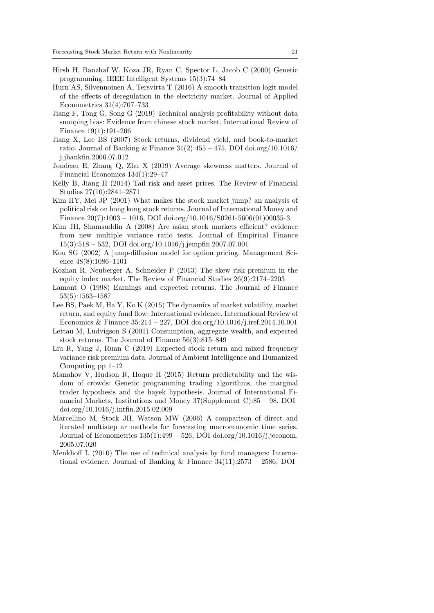- <span id="page-22-11"></span>Hirsh H, Banzhaf W, Koza JR, Ryan C, Spector L, Jacob C (2000) Genetic programming. IEEE Intelligent Systems 15(3):74–84
- <span id="page-22-9"></span>Hurn AS, Silvennoinen A, Tersvirta T (2016) A smooth transition logit model of the effects of deregulation in the electricity market. Journal of Applied Econometrics 31(4):707–733
- <span id="page-22-7"></span>Jiang F, Tong G, Song G (2019) Technical analysis profitability without data snooping bias: Evidence from chinese stock market. International Review of Finance 19(1):191–206
- <span id="page-22-5"></span>Jiang X, Lee BS (2007) Stock returns, dividend yield, and book-to-market ratio. Journal of Banking & Finance  $31(2):455 - 475$ , DOI doi.org/10.1016/ j.jbankfin.2006.07.012
- <span id="page-22-15"></span>Jondeau E, Zhang Q, Zhu X (2019) Average skewness matters. Journal of Financial Economics 134(1):29–47
- <span id="page-22-14"></span>Kelly B, Jiang H (2014) Tail risk and asset prices. The Review of Financial Studies 27(10):2841–2871
- <span id="page-22-1"></span>Kim HY, Mei JP (2001) What makes the stock market jump? an analysis of political risk on hong kong stock returns. Journal of International Money and Finance 20(7):1003 – 1016, DOI doi.org/10.1016/S0261-5606(01)00035-3
- <span id="page-22-12"></span>Kim JH, Shamsuddin A (2008) Are asian stock markets efficient? evidence from new multiple variance ratio tests. Journal of Empirical Finance 15(3):518 – 532, DOI doi.org/10.1016/j.jempfin.2007.07.001
- <span id="page-22-2"></span>Kou SG (2002) A jump-diffusion model for option pricing. Management Science 48(8):1086–1101
- <span id="page-22-13"></span>Kozhan R, Neuberger A, Schneider P (2013) The skew risk premium in the equity index market. The Review of Financial Studies 26(9):2174–2203
- <span id="page-22-4"></span>Lamont O (1998) Earnings and expected returns. The Journal of Finance 53(5):1563–1587
- <span id="page-22-3"></span>Lee BS, Paek M, Ha Y, Ko K (2015) The dynamics of market volatility, market return, and equity fund flow: International evidence. International Review of Economics & Finance 35:214 – 227, DOI doi.org/10.1016/j.iref.2014.10.001
- <span id="page-22-6"></span>Lettau M, Ludvigson S (2001) Consumption, aggregate wealth, and expected stock returns. The Journal of Finance 56(3):815–849
- <span id="page-22-0"></span>Liu R, Yang J, Ruan C (2019) Expected stock return and mixed frequency variance risk premium data. Journal of Ambient Intelligence and Humanized Computing pp 1–12
- <span id="page-22-8"></span>Manahov V, Hudson R, Hoque H (2015) Return predictability and the wisdom of crowds: Genetic programming trading algorithms, the marginal trader hypothesis and the hayek hypothesis. Journal of International Financial Markets, Institutions and Money 37(Supplement C):85 – 98, DOI doi.org/10.1016/j.intfin.2015.02.009
- <span id="page-22-10"></span>Marcellino M, Stock JH, Watson MW (2006) A comparison of direct and iterated multistep ar methods for forecasting macroeconomic time series. Journal of Econometrics  $135(1):499 - 526$ , DOI doi.org/10.1016/j.jeconom. 2005.07.020
- <span id="page-22-16"></span>Menkhoff L (2010) The use of technical analysis by fund managers: International evidence. Journal of Banking & Finance  $34(11):2573 - 2586$ , DOI